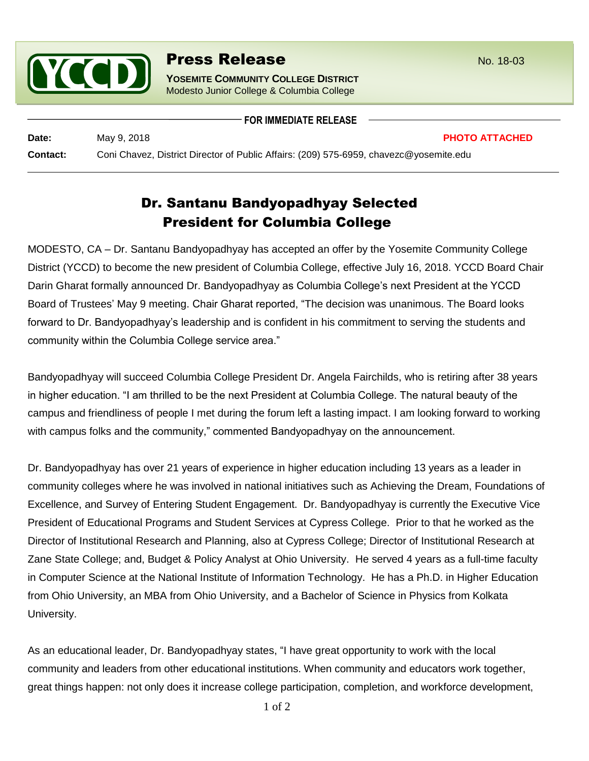

## **Press Release** No. 18-03

**YOSEMITE COMMUNITY COLLEGE DISTRICT** Modesto Junior College & Columbia College

## **FOR IMMEDIATE RELEASE**

**Date:** May 9, 2018 **PHOTO ATTACHED**

**Contact:** Coni Chavez, District Director of Public Affairs: (209) 575-6959, chavezc@yosemite.edu

## Dr. Santanu Bandyopadhyay Selected President for Columbia College

MODESTO, CA – Dr. Santanu Bandyopadhyay has accepted an offer by the Yosemite Community College District (YCCD) to become the new president of Columbia College, effective July 16, 2018. YCCD Board Chair Darin Gharat formally announced Dr. Bandyopadhyay as Columbia College's next President at the YCCD Board of Trustees' May 9 meeting. Chair Gharat reported, "The decision was unanimous. The Board looks forward to Dr. Bandyopadhyay's leadership and is confident in his commitment to serving the students and community within the Columbia College service area."

Bandyopadhyay will succeed Columbia College President Dr. Angela Fairchilds, who is retiring after 38 years in higher education. "I am thrilled to be the next President at Columbia College. The natural beauty of the campus and friendliness of people I met during the forum left a lasting impact. I am looking forward to working with campus folks and the community," commented Bandyopadhyay on the announcement.

Dr. Bandyopadhyay has over 21 years of experience in higher education including 13 years as a leader in community colleges where he was involved in national initiatives such as Achieving the Dream, Foundations of Excellence, and Survey of Entering Student Engagement. Dr. Bandyopadhyay is currently the Executive Vice President of Educational Programs and Student Services at Cypress College. Prior to that he worked as the Director of Institutional Research and Planning, also at Cypress College; Director of Institutional Research at Zane State College; and, Budget & Policy Analyst at Ohio University. He served 4 years as a full-time faculty in Computer Science at the National Institute of Information Technology. He has a Ph.D. in Higher Education from Ohio University, an MBA from Ohio University, and a Bachelor of Science in Physics from Kolkata University.

As an educational leader, Dr. Bandyopadhyay states, "I have great opportunity to work with the local community and leaders from other educational institutions. When community and educators work together, great things happen: not only does it increase college participation, completion, and workforce development,